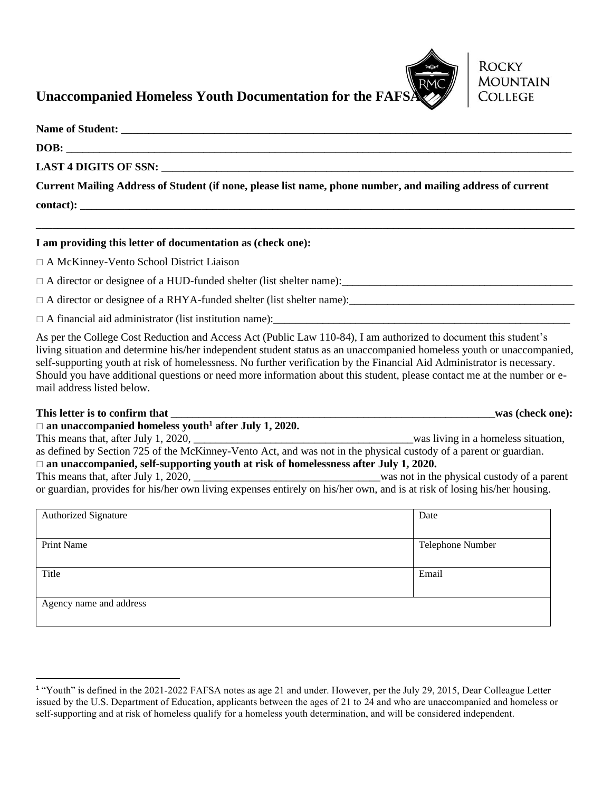

**ROCKY** 

**MOUNTAIN COLLEGE** 

## **Unaccompanied Homeless Youth Documentation for the FAFS**

| DOB:                                                                                                        |
|-------------------------------------------------------------------------------------------------------------|
|                                                                                                             |
| Current Mailing Address of Student (if none, please list name, phone number, and mailing address of current |
|                                                                                                             |

**\_\_\_\_\_\_\_\_\_\_\_\_\_\_\_\_\_\_\_\_\_\_\_\_\_\_\_\_\_\_\_\_\_\_\_\_\_\_\_\_\_\_\_\_\_\_\_\_\_\_\_\_\_\_\_\_\_\_\_\_\_\_\_\_\_\_\_\_\_\_\_\_\_\_\_\_\_\_\_\_\_\_\_\_\_\_\_\_\_\_\_\_\_\_\_\_\_\_**

## **I am providing this letter of documentation as (check one):**

A McKinney-Vento School District Liaison

A director or designee of a HUD-funded shelter (list shelter name):\_\_\_\_\_\_\_\_\_\_\_\_\_\_\_\_\_\_\_\_\_\_\_\_\_\_\_\_\_\_\_\_\_\_\_\_\_\_\_\_\_\_

 $\Box$  A director or designee of a RHYA-funded shelter (list shelter name):

 $\Box$  A financial aid administrator (list institution name):

As per the College Cost Reduction and Access Act (Public Law 110-84), I am authorized to document this student's living situation and determine his/her independent student status as an unaccompanied homeless youth or unaccompanied, self-supporting youth at risk of homelessness. No further verification by the Financial Aid Administrator is necessary. Should you have additional questions or need more information about this student, please contact me at the number or email address listed below.

## This letter is to confirm that  $\qquad \qquad$  **This letter is to confirm that**

 **an unaccompanied homeless youth<sup>1</sup> after July 1, 2020.** This means that, after July 1, 2020, \_\_\_\_\_\_\_\_\_\_\_\_\_\_\_\_\_\_\_\_\_\_\_\_\_\_\_\_\_\_\_\_\_\_\_\_\_\_\_\_was living in a homeless situation, as defined by Section 725 of the McKinney-Vento Act, and was not in the physical custody of a parent or guardian. □ an unaccompanied, self-supporting youth at risk of homelessness after July 1, 2020.

This means that, after July 1, 2020, was not in the physical custody of a parent or guardian, provides for his/her own living expenses entirely on his/her own, and is at risk of losing his/her housing.

| <b>Authorized Signature</b> | Date             |
|-----------------------------|------------------|
|                             |                  |
| Print Name                  | Telephone Number |
|                             |                  |
| Title                       | Email            |
|                             |                  |
| Agency name and address     |                  |
|                             |                  |

<sup>&</sup>lt;sup>1</sup> "Youth" is defined in the 2021-2022 FAFSA notes as age 21 and under. However, per the July 29, 2015, Dear Colleague Letter issued by the U.S. Department of Education, applicants between the ages of 21 to 24 and who are unaccompanied and homeless or self-supporting and at risk of homeless qualify for a homeless youth determination, and will be considered independent.